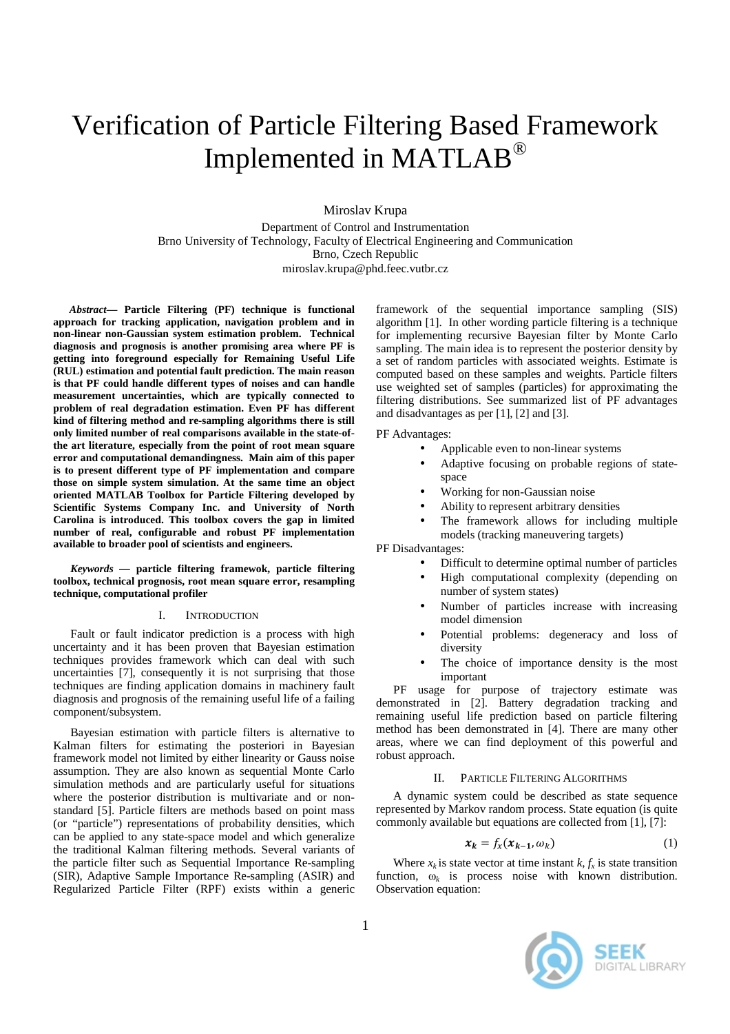# Verification of Particle Filtering Based Framework Implemented in MATLAB®

Miroslav Krupa

Department of Control and Instrumentation Brno University of Technology, Faculty of Electrical Engineering and Communication Brno, Czech Republic miroslav.krupa@phd.feec.vutbr.cz

*Abstract***— Particle Filtering (PF) technique is functional approach for tracking application, navigation problem and in non-linear non-Gaussian system estimation problem. Technical diagnosis and prognosis is another promising area where PF is getting into foreground especially for Remaining Useful Life (RUL) estimation and potential fault prediction. The main reason is that PF could handle different types of noises and can handle measurement uncertainties, which are typically connected to problem of real degradation estimation. Even PF has different kind of filtering method and re-sampling algorithms there is still only limited number of real comparisons available in the state-ofthe art literature, especially from the point of root mean square error and computational demandingness. Main aim of this paper is to present different type of PF implementation and compare those on simple system simulation. At the same time an object oriented MATLAB Toolbox for Particle Filtering developed by Scientific Systems Company Inc. and University of North Carolina is introduced. This toolbox covers the gap in limited number of real, configurable and robust PF implementation available to broader pool of scientists and engineers.** 

*Keywords —* **particle filtering framewok, particle filtering toolbox, technical prognosis, root mean square error, resampling technique, computational profiler**

#### I. INTRODUCTION

Fault or fault indicator prediction is a process with high uncertainty and it has been proven that Bayesian estimation techniques provides framework which can deal with such uncertainties [7], consequently it is not surprising that those techniques are finding application domains in machinery fault diagnosis and prognosis of the remaining useful life of a failing component/subsystem.

Bayesian estimation with particle filters is alternative to Kalman filters for estimating the posteriori in Bayesian framework model not limited by either linearity or Gauss noise assumption. They are also known as sequential Monte Carlo simulation methods and are particularly useful for situations where the posterior distribution is multivariate and or nonstandard [5]. Particle filters are methods based on point mass (or "particle") representations of probability densities, which can be applied to any state-space model and which generalize the traditional Kalman filtering methods. Several variants of the particle filter such as Sequential Importance Re-sampling (SIR), Adaptive Sample Importance Re-sampling (ASIR) and Regularized Particle Filter (RPF) exists within a generic

framework of the sequential importance sampling (SIS) algorithm [1]. In other wording particle filtering is a technique for implementing recursive Bayesian filter by Monte Carlo sampling. The main idea is to represent the posterior density by a set of random particles with associated weights. Estimate is computed based on these samples and weights. Particle filters use weighted set of samples (particles) for approximating the filtering distributions. See summarized list of PF advantages and disadvantages as per [1], [2] and [3].

PF Advantages:

- Applicable even to non-linear systems
- Adaptive focusing on probable regions of statespace
- Working for non-Gaussian noise
- Ability to represent arbitrary densities
- The framework allows for including multiple models (tracking maneuvering targets)

PF Disadvantages:

- Difficult to determine optimal number of particles
- High computational complexity (depending on number of system states)
- Number of particles increase with increasing model dimension
- Potential problems: degeneracy and loss of diversity
- The choice of importance density is the most important

PF usage for purpose of trajectory estimate was demonstrated in [2]. Battery degradation tracking and remaining useful life prediction based on particle filtering method has been demonstrated in [4]. There are many other areas, where we can find deployment of this powerful and robust approach.

### II. PARTICLE FILTERING ALGORITHMS

A dynamic system could be described as state sequence represented by Markov random process. State equation (is quite commonly available but equations are collected from [1], [7]:

$$
x_k = f_x(x_{k-1}, \omega_k) \tag{1}
$$

Where  $x_k$  is state vector at time instant  $k$ ,  $f_x$  is state transition function,  $\omega_k$  is process noise with known distribution. Observation equation:

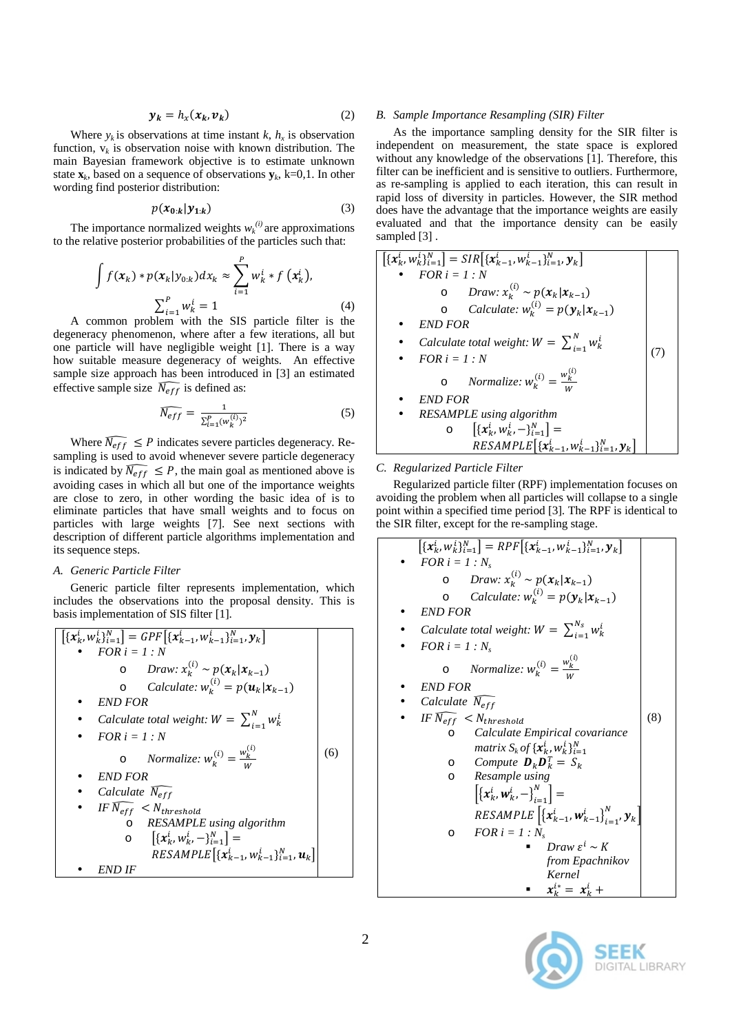$$
\mathbf{y}_k = h_x(\mathbf{x}_k, \mathbf{v}_k) \tag{2}
$$

Where  $y_k$  is observations at time instant  $k$ ,  $h_x$  is observation function,  $v_k$  is observation noise with known distribution. The main Bayesian framework objective is to estimate unknown state  $\mathbf{x}_k$ , based on a sequence of observations  $\mathbf{y}_k$ , k=0,1. In other wording find posterior distribution:

$$
p(x_{0:k}|y_{1:k})\tag{3}
$$

The importance normalized weights  $w_k^{(i)}$  are approximations to the relative posterior probabilities of the particles such that:

$$
\int f(x_k) * p(x_k | y_{0:k}) dx_k \approx \sum_{i=1}^P w_k^i * f(x_k^i),
$$
  

$$
\sum_{i=1}^P w_k^i = 1
$$
 (4)  
common problem with the SIS particle filter is the

A common problem with the SIS particle filter is the degeneracy phenomenon, where after a few iterations, all but one particle will have negligible weight [1]. There is a way how suitable measure degeneracy of weights. An effective sample size approach has been introduced in [3] an estimated effective sample size  $\overline{N_{eff}}$  is defined as:

$$
\widehat{N_{eff}} = \frac{1}{\sum_{i=1}^{P} (w_k^{(i)})^2}
$$
 (5)

Where  $\widehat{N_{eff}} \leq P$  indicates severe particles degeneracy. Resampling is used to avoid whenever severe particle degeneracy is indicated by  $\widehat{N_{eff}} \leq P$ , the main goal as mentioned above is avoiding cases in which all but one of the importance weights are close to zero, in other wording the basic idea of is to eliminate particles that have small weights and to focus on particles with large weights [7]. See next sections with description of different particle algorithms implementation and its sequence steps.

# *A. Generic Particle Filter*

Generic particle filter represents implementation, which includes the observations into the proposal density. This is basis implementation of SIS filter [1].

$$
\begin{bmatrix}\n[x_k^i, w_k^i]^N_{i=1}\n\end{bmatrix} = GPF\left[\{x_{k-1}^i, w_{k-1}^i\}_{i=1}^N, y_k\right] \\
\bullet \quad FOR \quad i = 1 : N \\
\bullet \quad Draw: x_k^{(i)} \sim p(x_k | x_{k-1}) \\
\bullet \quad Calculate: w_k^{(i)} = p(u_k | x_{k-1}) \\
\bullet \quad END FOR \\
\bullet \quad Calculate \quad total \quad weight: W = \sum_{i=1}^N w_k^i \\
\bullet \quad FOR \quad i = 1 : N \\
\bullet \quad Normalize: w_k^{(i)} = \frac{w_k^{(i)}}{w} \\
\bullet \quad END \quad FOR \\
\bullet \quad Calculate \quad \overline{N_{eff}} \\
\bullet \quad HERMPLE \quad using \; algorithm \\
\bullet \quad [x_k^i, w_k^i, -]^N_{i=1} = \\
\bullet \quad RESAMPLE\left[\{x_{k-1}^i, w_{k-1}^i\}_{i=1}^N, u_k\right]\n\end{bmatrix}
$$
\n
$$
\bullet \quad END \quad IF
$$
\n
$$
\bullet \quad END \quad IF
$$

## *B. Sample Importance Resampling (SIR) Filter*

As the importance sampling density for the SIR filter is independent on measurement, the state space is explored without any knowledge of the observations [1]. Therefore, this filter can be inefficient and is sensitive to outliers. Furthermore, as re-sampling is applied to each iteration, this can result in rapid loss of diversity in particles. However, the SIR method does have the advantage that the importance weights are easily evaluated and that the importance density can be easily sampled [3].

$$
\begin{bmatrix}\n[x_k^i, w_k^i]^N_{i=1}\n\end{bmatrix} = SIR\left[\{x_{k-1}^i, w_{k-1}^i\}_{i=1}^N, y_k\right] \n\bullet FOR \ i = 1 : N \n\circ Draw: x_k^{(i)} \sim p(x_k|x_{k-1}) \n\circ Calculate: w_k^{(i)} = p(y_k|x_{k-1}) \n\bullet END FOR \n\bullet Calculate total weight: W = \sum_{i=1}^N w_k^i \n\bullet FOR \ i = 1 : N \n\circ Normalize: w_k^{(i)} = \frac{w_k^{(i)}}{w} \n\bullet END FOR \n\bullet RESAMPLE using algorithm \n\circ \left[\{x_k^i, w_k^i, -\}_{i=1}^N\right] = \nRESAMPLE \left[\{x_{k-1}^i, w_{k-1}^i\}_{i=1}^N, y_k\right]
$$

## *C. Regularized Particle Filter*

Regularized particle filter (RPF) implementation focuses on avoiding the problem when all particles will collapse to a single point within a specified time period [3]. The RPF is identical to the SIR filter, except for the re-sampling stage.

$$
[\{x_k^i, w_k^i\}_{i=1}^N] = RPF[\{x_{k-1}^i, w_{k-1}^i\}_{i=1}^N, y_k]
$$
\n• *FOR*  $i = 1 : N_s$   
\n• *Draw*:  $x_k^{(i)} \sim p(x_k | x_{k-1})$   
\n• *CAculated*:  $w_k^{(i)} = p(y_k | x_{k-1})$   
\n• *END FOR*  
\n• *Calculate total weight*:  $W = \sum_{i=1}^{N_s} w_k^i$   
\n• *FOR*  $i = 1 : N_s$   
\n• *Nonmalize*:  $w_k^{(i)} = \frac{w_k^{(i)}}{w}$   
\n• *END FOR*  
\n• *Calculate*  $\overline{N_{eff}}$   
\n• *IF*  $\overline{N_{eff}} \leq N_{threshold}$   
\n• *Caculated Empirical covariance* 
$$
matrix S_k of \{x_k^i, w_k^i\}_{i=1}^N
$$
  
\n• *Compute*  $D_k D_k^T = S_k$   
\n• *Resample using* 
$$
[\{x_k^i, w_k^i, -\}_{i=1}^N] =
$$
  
\n*RESAMPLE* 
$$
[\{x_{k-1}^i, w_{k-1}^i\}_{i=1}^N, y_k]
$$
  
\n• *FOR*  $i = 1 : N_s$   
\n• *Draw*  $\varepsilon^i \sim K$  *from Epachnikov Kernel*  
\n•  $x_k^{i*} = x_k^{i} +$ 

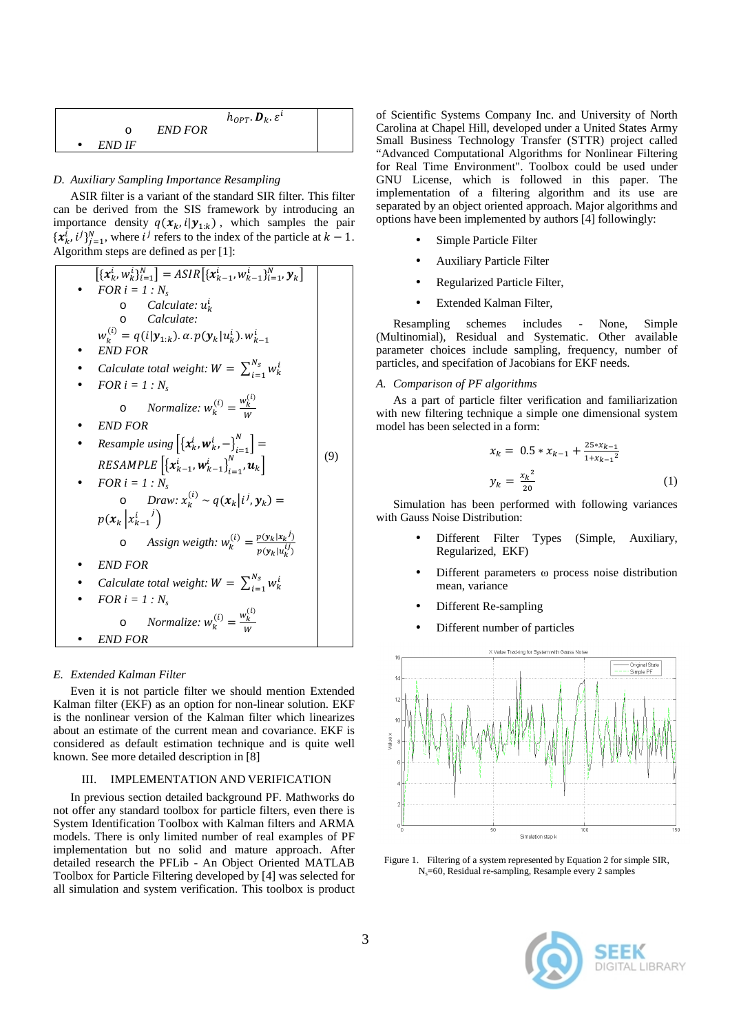|        |                | $h_{OPT}$ . $\boldsymbol{D}_k$ . $\varepsilon^l$ |  |
|--------|----------------|--------------------------------------------------|--|
| ∩      | <b>END FOR</b> |                                                  |  |
| END IF |                |                                                  |  |

# *D. Auxiliary Sampling Importance Resampling*

ASIR filter is a variant of the standard SIR filter. This filter can be derived from the SIS framework by introducing an importance density  $q(x_k, i | y_{1:k})$ , which samples the pair  $\{x_k^i, i^j\}_{j=1}^N$ , where  $i^j$  refers to the index of the particle at  $k - 1$ . Algorithm steps are defined as per [1]:

$$
[\{x_k^i, w_k^i\}_{i=1}^N] = ASIR[\{x_{k-1}^i, w_{k-1}^i\}_{i=1}^N, y_k]
$$
\n• *FOR*  $i = 1 : N_s$   
\n• *Calculate* :  $u_k^i$   
\n• *Calculate*  
\n $w_k^{(i)} = q(i|y_{1:k})$ .  $\alpha$ .  $p(y_k|u_k^i)$ .  $w_{k-1}^i$   
\n• *END FOR*  
\n• *Calculate total weight*:  $W = \sum_{i=1}^{N_s} w_k^i$   
\n• *FOR*  $i = 1 : N_s$   
\n• *NormER*  
\n• *RESample using*  $[\{x_k^i, w_k^i, -\}_{i=1}^N] =$   
\n*RESAMPLE*  $[\{x_{k-1}^i, w_{k-1}^i\}_{i=1}^N, u_k]$   
\n• *FOR*  $i = 1 : N_s$   
\n• *Draw*:  $x_k^{(i)} \sim q(x_k|i^j, y_k) =$   
\n $p(x_k|x_{k-1}^{i-1})$   
\n• *Assign weight*:  $w_k^{(i)} = \frac{p(y_k|x_k^i)}{p(y_k|u_k^{ij})}$   
\n• *END FOR*  
\n• *Calculate total weight*:  $W = \sum_{i=1}^{N_s} w_k^i$   
\n• *FOR*  $i = 1 : N_s$   
\n• *NormER*  
\n• *END FOR*  
\n• *END FOR*  
\n• *END FOR*  
\n• *END FOR*

## *E. Extended Kalman Filter*

Even it is not particle filter we should mention Extended Kalman filter (EKF) as an option for non-linear solution. EKF is the nonlinear version of the Kalman filter which linearizes about an estimate of the current mean and covariance. EKF is considered as default estimation technique and is quite well known. See more detailed description in [8]

# III. IMPLEMENTATION AND VERIFICATION

In previous section detailed background PF. Mathworks do not offer any standard toolbox for particle filters, even there is System Identification Toolbox with Kalman filters and ARMA models. There is only limited number of real examples of PF implementation but no solid and mature approach. After detailed research the PFLib - An Object Oriented MATLAB Toolbox for Particle Filtering developed by [4] was selected for all simulation and system verification. This toolbox is product of Scientific Systems Company Inc. and University of North Carolina at Chapel Hill, developed under a United States Army Small Business Technology Transfer (STTR) project called "Advanced Computational Algorithms for Nonlinear Filtering for Real Time Environment". Toolbox could be used under GNU License, which is followed in this paper. The implementation of a filtering algorithm and its use are separated by an object oriented approach. Major algorithms and options have been implemented by authors [4] followingly:

- Simple Particle Filter
- Auxiliary Particle Filter
- Regularized Particle Filter,
- Extended Kalman Filter,

Resampling schemes includes - None, Simple (Multinomial), Residual and Systematic. Other available parameter choices include sampling, frequency, number of particles, and specifation of Jacobians for EKF needs.

## *A. Comparison of PF algorithms*

As a part of particle filter verification and familiarization with new filtering technique a simple one dimensional system model has been selected in a form:

$$
\begin{aligned} x_k &= 0.5 \ast x_{k-1} + \frac{25 \ast x_{k-1}}{1 + x_{k-1}^2} \\ y_k &= \frac{x_k^2}{20} \end{aligned} \tag{1}
$$

Simulation has been performed with following variances with Gauss Noise Distribution:

- Different Filter Types (Simple, Auxiliary, Regularized, EKF)
- Different parameters ω process noise distribution mean, variance
- Different Re-sampling
- Different number of particles



Figure 1. Filtering of a system represented by Equation 2 for simple SIR, Ns=60, Residual re-sampling, Resample every 2 samples

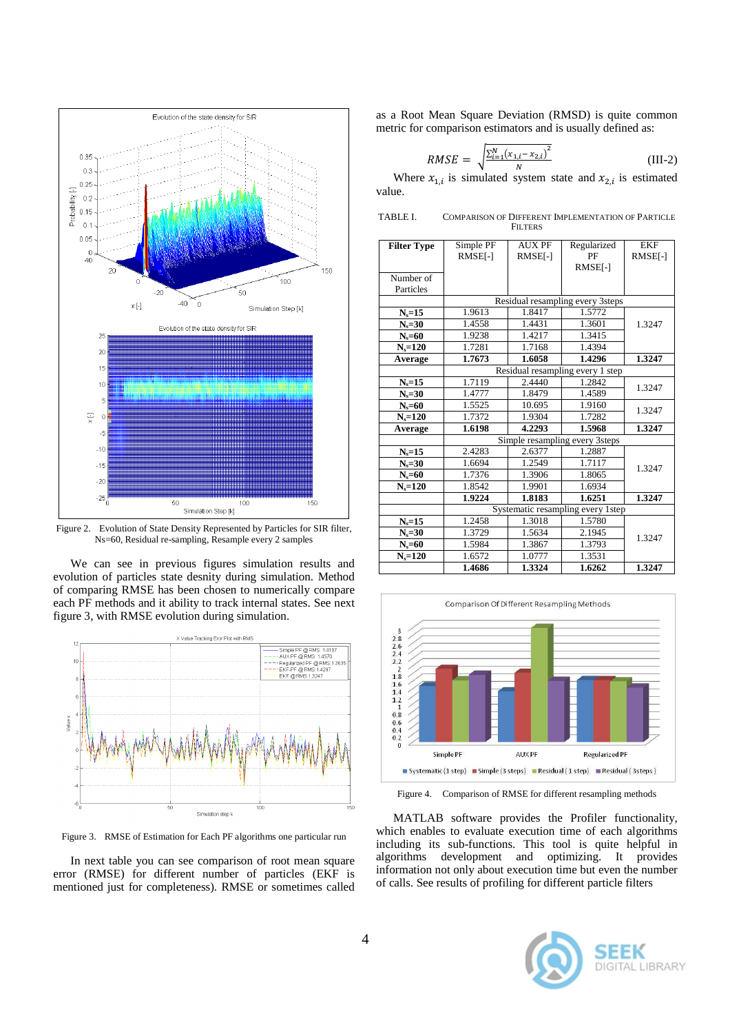

Figure 2. Evolution of State Density Represented by Particles for SIR filter, Ns=60, Residual re-sampling, Resample every 2 samples

We can see in previous figures simulation results and evolution of particles state desnity during simulation. Method of comparing RMSE has been chosen to numerically compare each PF methods and it ability to track internal states. See next figure 3, with RMSE evolution during simulation.



Figure 3. RMSE of Estimation for Each PF algorithms one particular run

In next table you can see comparison of root mean square error (RMSE) for different number of particles (EKF is mentioned just for completeness). RMSE or sometimes called as a Root Mean Square Deviation (RMSD) is quite common metric for comparison estimators and is usually defined as:

$$
RMSE = \sqrt{\frac{\sum_{i=1}^{N} (x_{1,i} - x_{2,i})^2}{N}}
$$
 (III-2)

Where  $x_{1,i}$  is simulated system state and  $x_{2,i}$  is estimated value.

| TABLE I. | COMPARISON OF DIFFERENT IMPLEMENTATION OF PARTICLE |
|----------|----------------------------------------------------|
|          | <b>FILTERS</b>                                     |

| <b>Filter Type</b> | Simple PF                         | <b>AUX PF</b> | Regularized | <b>EKF</b> |  |  |
|--------------------|-----------------------------------|---------------|-------------|------------|--|--|
|                    | RMSE[-]                           | RMSE[-]       | PF          | RMSE[-]    |  |  |
|                    |                                   |               | RMSE[-]     |            |  |  |
| Number of          |                                   |               |             |            |  |  |
| Particles          |                                   |               |             |            |  |  |
|                    | Residual resampling every 3steps  |               |             |            |  |  |
| $N_s = 15$         | 1.9613                            | 1.8417        | 1.5772      |            |  |  |
| $N_s = 30$         | 1.4558                            | 1.4431        | 1.3601      | 1.3247     |  |  |
| $N_s = 60$         | 1.9238                            | 1.4217        | 1.3415      |            |  |  |
| $N_s = 120$        | 1.7281                            | 1.7168        | 1.4394      |            |  |  |
| Average            | 1.7673                            | 1.6058        | 1.4296      | 1.3247     |  |  |
|                    | Residual resampling every 1 step  |               |             |            |  |  |
| $N_s = 15$         | 1.7119                            | 2.4440        | 1.2842      | 1.3247     |  |  |
| $N_s = 30$         | 1.4777                            | 1.8479        | 1.4589      |            |  |  |
| $N_s = 60$         | 1.5525                            | 10.695        | 1.9160      | 1.3247     |  |  |
| $N_s = 120$        | 1.7372                            | 1.9304        | 1.7282      |            |  |  |
| Average            | 1.6198                            | 4.2293        | 1.5968      | 1.3247     |  |  |
|                    | Simple resampling every 3steps    |               |             |            |  |  |
| $N_s = 15$         | 2.4283                            | 2.6377        | 1.2887      |            |  |  |
| $N_s = 30$         | 1.6694                            | 1.2549        | 1.7117      | 1.3247     |  |  |
| $N_s = 60$         | 1.7376                            | 1.3906        | 1.8065      |            |  |  |
| $N_s = 120$        | 1.8542                            | 1.9901        | 1.6934      |            |  |  |
|                    | 1.9224                            | 1.8183        | 1.6251      | 1.3247     |  |  |
|                    | Systematic resampling every 1step |               |             |            |  |  |
| $N_s = 15$         | 1.2458                            | 1.3018        | 1.5780      |            |  |  |
| $N_s = 30$         | 1.3729                            | 1.5634        | 2.1945      | 1.3247     |  |  |
| $N_s = 60$         | 1.5984                            | 1.3867        | 1.3793      |            |  |  |
| $N_s = 120$        | 1.6572                            | 1.0777        | 1.3531      |            |  |  |
|                    | 1.4686                            | 1.3324        | 1.6262      | 1.3247     |  |  |



Figure 4. Comparison of RMSE for different resampling methods

MATLAB software provides the Profiler functionality, which enables to evaluate execution time of each algorithms including its sub-functions. This tool is quite helpful in algorithms development and optimizing. It provides information not only about execution time but even the number of calls. See results of profiling for different particle filters